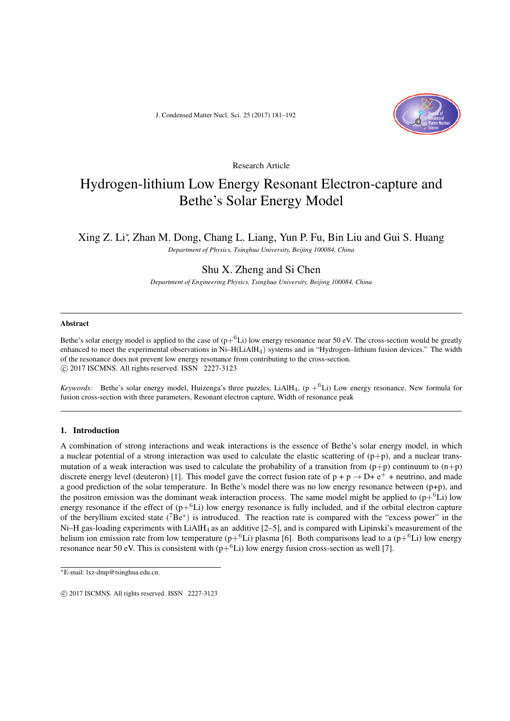J. Condensed Matter Nucl. Sci. 25 (2017) 181–192



Research Article

# Hydrogen-lithium Low Energy Resonant Electron-capture and Bethe's Solar Energy Model

# Xing Z. Li*<sup>∗</sup>* , Zhan M. Dong, Chang L. Liang, Yun P. Fu, Bin Liu and Gui S. Huang

*Department of Physics, Tsinghua University, Beijing 100084, China*

# Shu X. Zheng and Si Chen

*Department of Engineering Physics, Tsinghua University, Beijing 100084, China*

#### Abstract

Bethe's solar energy model is applied to the case of  $(p+{}^6Li)$  low energy resonance near 50 eV. The cross-section would be greatly enhanced to meet the experimental observations in Ni–H(LiAlH4) systems and in "Hydrogen–lithium fusion devices." The width of the resonance does not prevent low energy resonance from contributing to the cross-section. *⃝*c 2017 ISCMNS. All rights reserved. ISSN 2227-3123

*Keywords:* Bethe's solar energy model, Huizenga's three puzzles, LiAlH<sub>4</sub>,  $(p + ^6Li)$  Low energy resonance, New formula for fusion cross-section with three parameters, Resonant electron capture, Width of resonance peak

# 1. Introduction

A combination of strong interactions and weak interactions is the essence of Bethe's solar energy model, in which a nuclear potential of a strong interaction was used to calculate the elastic scattering of  $(p+p)$ , and a nuclear transmutation of a weak interaction was used to calculate the probability of a transition from  $(p+p)$  continuum to  $(n+p)$ discrete energy level (deuteron) [1]. This model gave the correct fusion rate of  $p + p \rightarrow D + e^+ +$  neutrino, and made a good prediction of the solar temperature. In Bethe's model there was no low energy resonance between  $(p+p)$ , and the positron emission was the dominant weak interaction process. The same model might be applied to  $(p+6Li)$  low energy resonance if the effect of  $(p+{}^6L_i)$  low energy resonance is fully included, and if the orbital electron capture of the beryllium excited state (<sup>7</sup>Be*<sup>∗</sup>* ) is introduced. The reaction rate is compared with the "excess power" in the Ni–H gas-loading experiments with  $LiAlH<sub>4</sub>$  as an additive [2–5], and is compared with Lipinski's measurement of the helium ion emission rate from low temperature ( $p+{}^{6}$ Li) plasma [6]. Both comparisons lead to a ( $p+{}^{6}$ Li) low energy resonance near 50 eV. This is consistent with  $(p+6Li)$  low energy fusion cross-section as well [7].

*<sup>∗</sup>*E-mail: lxz-dmp@tsinghua.edu.cn.

 $\circ$  2017 ISCMNS. All rights reserved. ISSN 2227-3123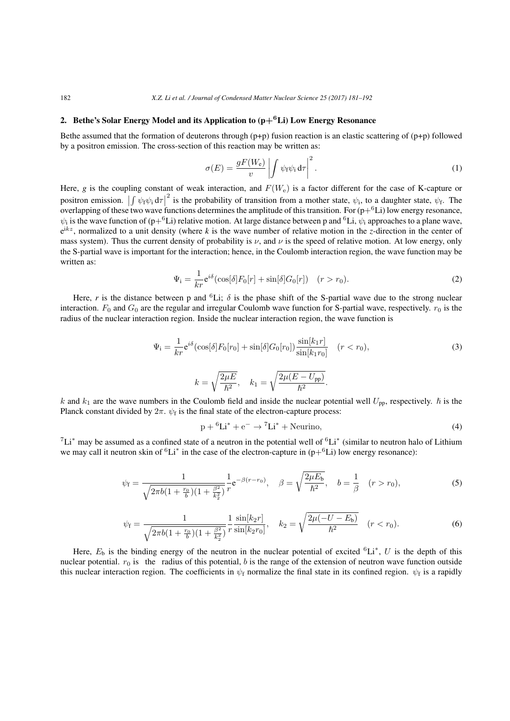# 2. Bethe's Solar Energy Model and its Application to (p**+6**Li) Low Energy Resonance

Bethe assumed that the formation of deuterons through (p+p) fusion reaction is an elastic scattering of (p+p) followed by a positron emission. The cross-section of this reaction may be written as:

$$
\sigma(E) = \frac{gF(W_e)}{v} \left| \int \psi_f \psi_i d\tau \right|^2.
$$
\n(1)

Here, g is the coupling constant of weak interaction, and  $F(W_e)$  is a factor different for the case of K-capture or positron emission.  $\left|\int \psi_f \psi_i d\tau\right|^2$  is the probability of transition from a mother state,  $\psi_i$ , to a daughter state,  $\psi_f$ . The position emission.  $\int \psi_f \psi_i d\tau$  is the probability of transition from a model state,  $\psi_i$ , to a daughter state,  $\psi_f$ . The overlapping of these two wave functions determines the amplitude of this transition. For  $(p+{}^6Li$  $\psi_i$  is the wave function of (p+<sup>6</sup>Li) relative motion. At large distance between p and <sup>6</sup>Li,  $\psi_i$  approaches to a plane wave, e <sup>i</sup>*kz*, normalized to a unit density (where *k* is the wave number of relative motion in the *z*-direction in the center of mass system). Thus the current density of probability is  $\nu$ , and  $\nu$  is the speed of relative motion. At low energy, only the S-partial wave is important for the interaction; hence, in the Coulomb interaction region, the wave function may be written as:

$$
\Psi_{\mathbf{i}} = \frac{1}{kr} \mathbf{e}^{i\delta} (\cos[\delta] F_0[r] + \sin[\delta] G_0[r]) \quad (r > r_0). \tag{2}
$$

Here, *r* is the distance between p and <sup>6</sup>Li;  $\delta$  is the phase shift of the S-partial wave due to the strong nuclear interaction.  $F_0$  and  $G_0$  are the regular and irregular Coulomb wave function for S-partial wave, respectively.  $r_0$  is the radius of the nuclear interaction region. Inside the nuclear interaction region, the wave function is

$$
\Psi_{\mathbf{i}} = \frac{1}{kr} e^{i\delta} (\cos[\delta] F_0[r_0] + \sin[\delta] G_0[r_0]) \frac{\sin[k_1 r]}{\sin[k_1 r_0]} \quad (r < r_0),
$$
\n
$$
k = \sqrt{\frac{2\mu E}{\hbar^2}}, \quad k_1 = \sqrt{\frac{2\mu(E - U_{\rm pp})}{\hbar^2}}.
$$
\n
$$
(3)
$$

*k* and  $k_1$  are the wave numbers in the Coulomb field and inside the nuclear potential well  $U_{\text{pp}}$ , respectively.  $\hbar$  is the Planck constant divided by  $2\pi$ .  $\psi_f$  is the final state of the electron-capture process:

$$
p + {}^{6}Li^* + e^- \rightarrow {}^{7}Li^* + Neurino,
$$
\n<sup>(4)</sup>

<sup>7</sup>Li*<sup>∗</sup>* may be assumed as a confined state of a neutron in the potential well of <sup>6</sup>Li*<sup>∗</sup>* (similar to neutron halo of Lithium we may call it neutron skin of <sup>6</sup>Li<sup>∗</sup> in the case of the electron-capture in (p+<sup>6</sup>Li) low energy resonance):

$$
\psi_{\rm f} = \frac{1}{\sqrt{2\pi b(1 + \frac{r_0}{b})(1 + \frac{\beta^2}{k_2^2})}} \frac{1}{r} e^{-\beta(r - r_0)}, \quad \beta = \sqrt{\frac{2\mu E_{\rm b}}{\hbar^2}}, \quad b = \frac{1}{\beta} \quad (r > r_0),
$$
\n(5)

$$
\psi_{\rm f} = \frac{1}{\sqrt{2\pi b(1 + \frac{r_0}{b})(1 + \frac{\beta^2}{k_2^2})}} \frac{1}{r} \frac{\sin[k_2 r]}{\sin[k_2 r_0]}, \quad k_2 = \sqrt{\frac{2\mu(-U - E_b)}{\hbar^2}} \quad (r < r_0). \tag{6}
$$

Here,  $E_b$  is the binding energy of the neutron in the nuclear potential of excited  ${}^6Li^*$ , U is the depth of this nuclear potential.  $r_0$  is the radius of this potential, *b* is the range of the extension of neutron wave function outside this nuclear interaction region. The coefficients in  $\psi_f$  normalize the final state in its confined region.  $\psi_f$  is a rapidly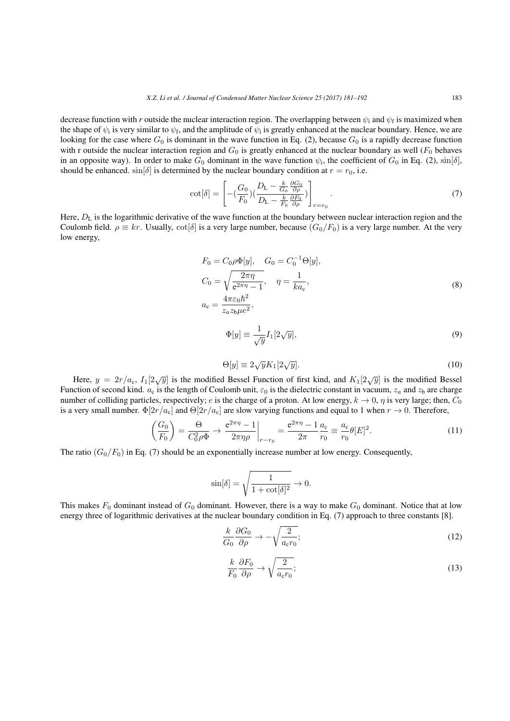decrease function with *r* outside the nuclear interaction region. The overlapping between  $\psi_i$  and  $\psi_f$  is maximized when the shape of  $\psi_i$  is very similar to  $\psi_f$ , and the amplitude of  $\psi_i$  is greatly enhanced at the nuclear boundary. Hence, we are looking for the case where  $G_0$  is dominant in the wave function in Eq. (2), because  $G_0$  is a rapidly decrease function with r outside the nuclear interaction region and  $G_0$  is greatly enhanced at the nuclear boundary as well  $(F_0)$  behaves in an opposite way). In order to make  $G_0$  dominant in the wave function  $\psi_i$ , the coefficient of  $G_0$  in Eq. (2),  $\sin[\delta]$ , should be enhanced.  $\sin[\delta]$  is determined by the nuclear boundary condition at  $r = r_0$ , i.e.

$$
\cot[\delta] = \left[ -\left(\frac{G_0}{F_0}\right) \left(\frac{D_L - \frac{k}{G_0} \frac{\partial G_0}{\partial \rho}}{D_L - \frac{k}{F_0} \frac{\partial F_0}{\partial \rho}}\right) \right]_{r=r_0}.
$$
\n(7)

Here,  $D_L$  is the logarithmic derivative of the wave function at the boundary between nuclear interaction region and the Coulomb field.  $\rho \equiv kr$ . Usually,  $\cot[\delta]$  is a very large number, because  $(G_0/F_0)$  is a very large number. At the very low energy,

$$
F_0 = C_0 \rho \Phi[y], \quad G_0 = C_0^{-1} \Theta[y],
$$
  
\n
$$
C_0 = \sqrt{\frac{2\pi\eta}{e^{2\pi\eta} - 1}}, \quad \eta = \frac{1}{ka_c},
$$
  
\n
$$
a_c = \frac{4\pi\varepsilon_0\hbar^2}{z_a z_b \mu e^2},
$$
\n(8)

$$
\Phi[y] \equiv \frac{1}{\sqrt{y}} I_1[2\sqrt{y}],\tag{9}
$$

$$
\Theta[y] \equiv 2\sqrt{y}K_1[2\sqrt{y}].\tag{10}
$$

Here,  $y = 2r/a_c$ ,  $I_1[2\sqrt{y}]$  is the modified Bessel Function of first kind, and  $K_1[2\sqrt{y}]$  is the modified Bessel Function of second kind.  $a_c$  is the length of Coulomb unit,  $\varepsilon_0$  is the dielectric constant in vacuum,  $z_a$  and  $z_b$  are charge number of colliding particles, respectively; *e* is the charge of a proton. At low energy,  $k \to 0$ ,  $\eta$  is very large; then,  $C_0$ is a very small number.  $\Phi[2r/a_c]$  and  $\Theta[2r/a_c]$  are slow varying functions and equal to 1 when  $r \to 0$ . Therefore,

$$
\left(\frac{G_0}{F_0}\right) = \frac{\Theta}{C_0^2 \rho \Phi} \to \left. \frac{e^{2\pi \eta} - 1}{2\pi \eta \rho} \right|_{r = r_0} = \frac{e^{2\pi \eta} - 1}{2\pi} \frac{a_c}{r_0} \equiv \frac{a_c}{r_0} \theta[E]^2.
$$
\n(11)

The ratio  $(G_0/F_0)$  in Eq. (7) should be an exponentially increase number at low energy. Consequently,

$$
\sin[\delta] = \sqrt{\frac{1}{1 + \cot[\delta]^2}} \to 0.
$$

This makes  $F_0$  dominant instead of  $G_0$  dominant. However, there is a way to make  $G_0$  dominant. Notice that at low energy three of logarithmic derivatives at the nuclear boundary condition in Eq. (7) approach to three constants [8].

$$
\frac{k}{G_0} \frac{\partial G_0}{\partial \rho} \to -\sqrt{\frac{2}{a_c r_0}}; \tag{12}
$$

$$
\frac{k}{F_0} \frac{\partial F_0}{\partial \rho} \to \sqrt{\frac{2}{a_c r_0}}; \tag{13}
$$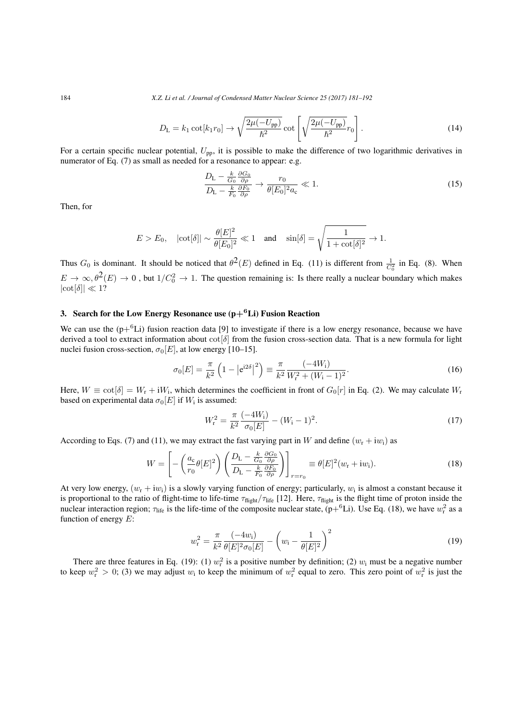184 *X.Z. Li et al. / Journal of Condensed Matter Nuclear Science 25 (2017) 181–192*

$$
D_{\rm L} = k_1 \cot[k_1 r_0] \rightarrow \sqrt{\frac{2\mu(-U_{\rm pp})}{\hbar^2}} \cot\left[\sqrt{\frac{2\mu(-U_{\rm pp})}{\hbar^2}} r_0\right].
$$
 (14)

For a certain specific nuclear potential,  $U_{\text{pp}}$ , it is possible to make the difference of two logarithmic derivatives in numerator of Eq. (7) as small as needed for a resonance to appear: e.g.

$$
\frac{D_{\rm L} - \frac{k}{G_0} \frac{\partial G_0}{\partial \rho}}{D_{\rm L} - \frac{k}{F_0} \frac{\partial F_0}{\partial \rho}} \to \frac{r_0}{\theta [E_0]^2 a_{\rm c}} \ll 1.
$$
\n(15)

Then, for

$$
E > E_0, \quad |\cot[\delta]| \sim \frac{\theta[E]^2}{\theta[E_0]^2} \ll 1 \quad \text{and} \quad \sin[\delta] = \sqrt{\frac{1}{1 + \cot[\delta]^2}} \to 1.
$$

Thus  $G_0$  is dominant. It should be noticed that  $\theta^2(E)$  defined in Eq. (11) is different from  $\frac{1}{C_0^2}$  in Eq. (8). When  $E \to \infty, \theta^2(E) \to 0$ , but  $1/C_0^2 \to 1$ . The question remaining is: Is there really a nuclear boundary which makes *|*cot[*δ*]*| ≪* 1?

# 3. Search for the Low Energy Resonance use  $(p+{}^6Li)$  Fusion Reaction

We can use the  $(p+{}^{6}Li)$  fusion reaction data [9] to investigate if there is a low energy resonance, because we have derived a tool to extract information about cot[*δ*] from the fusion cross-section data. That is a new formula for light nuclei fusion cross-section,  $\sigma_0[E]$ , at low energy [10–15].

$$
\sigma_0[E] = \frac{\pi}{k^2} \left( 1 - \left| e^{i2\delta} \right|^2 \right) \equiv \frac{\pi}{k^2} \frac{(-4W_i)}{W_i^2 + (W_i - 1)^2}.
$$
\n(16)

Here,  $W \equiv \cot[\delta] = W_r + iW_i$ , which determines the coefficient in front of  $G_0[r]$  in Eq. (2). We may calculate  $W_r$ based on experimental data  $\sigma_0[E]$  if  $W_i$  is assumed:

$$
W_{\rm r}^2 = \frac{\pi}{k^2} \frac{(-4W_{\rm i})}{\sigma_0[E]} - (W_{\rm i} - 1)^2. \tag{17}
$$

According to Eqs. (7) and (11), we may extract the fast varying part in *W* and define  $(w_r + iw_i)$  as

$$
W = \left[ -\left(\frac{a_c}{r_0} \theta[E]^2\right) \left(\frac{D_L - \frac{k}{G_0} \frac{\partial G_0}{\partial \rho}}{D_L - \frac{k}{F_0} \frac{\partial F_0}{\partial \rho}}\right) \right]_{r=r_0} \equiv \theta[E]^2 (w_r + i w_i). \tag{18}
$$

At very low energy,  $(w_r + iw_i)$  is a slowly varying function of energy; particularly,  $w_i$  is almost a constant because it is proportional to the ratio of flight-time to life-time  $\tau_{\text{flight}}/\tau_{\text{life}}$  [12]. Here,  $\tau_{\text{flight}}$  is the flight time of proton inside the nuclear interaction region;  $\tau_{\text{life}}$  is the life-time of the composite nuclear state,  $(p+{}^6Li)$ . Use Eq. (18), we have  $w_r^2$  as a function of energy *E*:

$$
w_{\rm r}^2 = \frac{\pi}{k^2} \frac{(-4w_{\rm i})}{\theta[E]^2 \sigma_0[E]} - \left(w_{\rm i} - \frac{1}{\theta[E]^2}\right)^2 \tag{19}
$$

There are three features in Eq. (19): (1)  $w_r^2$  is a positive number by definition; (2)  $w_i$  must be a negative number to keep  $w_r^2 > 0$ ; (3) we may adjust  $w_i$  to keep the minimum of  $w_r^2$  equal to zero. This zero point of  $w_r^2$  is just the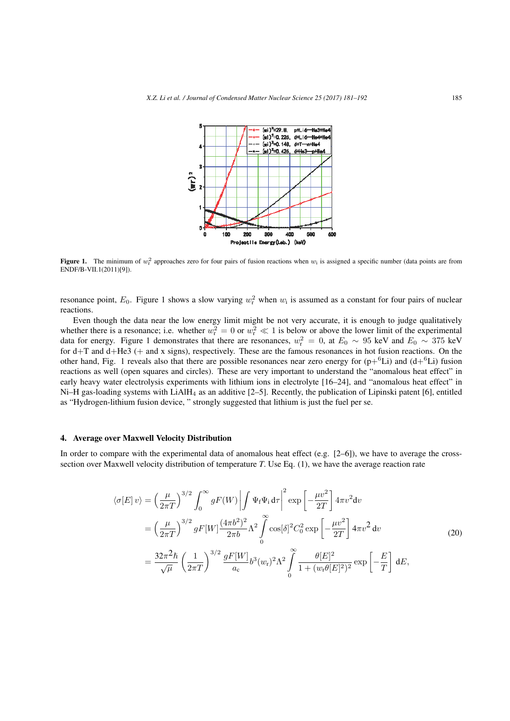

**Figure 1.** The minimum of  $w_r^2$  approaches zero for four pairs of fusion reactions when  $w_i$  is assigned a specific number (data points are from ENDF/B-VII.1(2011)[9]).

resonance point,  $E_0$ . Figure 1 shows a slow varying  $w_r^2$  when  $w_i$  is assumed as a constant for four pairs of nuclear reactions.

Even though the data near the low energy limit might be not very accurate, it is enough to judge qualitatively whether there is a resonance; i.e. whether  $w_r^2 = 0$  or  $w_r^2 \ll 1$  is below or above the lower limit of the experimental data for energy. Figure 1 demonstrates that there are resonances,  $w_r^2 = 0$ , at  $E_0 \sim 95$  keV and  $E_0 \sim 375$  keV for d+T and d+He3 (+ and x signs), respectively. These are the famous resonances in hot fusion reactions. On the other hand, Fig. 1 reveals also that there are possible resonances near zero energy for  $(p+6Li)$  and  $(d+6Li)$  fusion reactions as well (open squares and circles). These are very important to understand the "anomalous heat effect" in early heavy water electrolysis experiments with lithium ions in electrolyte [16–24], and "anomalous heat effect" in Ni–H gas-loading systems with LiAlH<sub>4</sub> as an additive  $[2–5]$ . Recently, the publication of Lipinski patent [6], entitled as "Hydrogen-lithium fusion device, " strongly suggested that lithium is just the fuel per se.

# 4. Average over Maxwell Velocity Distribution

In order to compare with the experimental data of anomalous heat effect (e.g.  $[2-6]$ ), we have to average the crosssection over Maxwell velocity distribution of temperature *T*. Use Eq. (1), we have the average reaction rate

$$
\langle \sigma[E] \, v \rangle = \left(\frac{\mu}{2\pi T}\right)^{3/2} \int_0^\infty g F(W) \left| \int \Psi_f \Psi_i \, d\tau \right|^2 \exp\left[ -\frac{\mu v^2}{2T} \right] 4\pi v^2 dv
$$
  
\n
$$
= \left(\frac{\mu}{2\pi T}\right)^{3/2} g F[W] \frac{(4\pi b^2)^2}{2\pi b} \Lambda^2 \int_0^\infty \cos[\delta]^2 C_0^2 \exp\left[ -\frac{\mu v^2}{2T} \right] 4\pi v^2 dv
$$
  
\n
$$
= \frac{32\pi^2 \hbar}{\sqrt{\mu}} \left(\frac{1}{2\pi T}\right)^{3/2} \frac{g F[W]}{a_c} b^3(w_r)^2 \Lambda^2 \int_0^\infty \frac{\theta[E]^2}{1 + (w_r \theta[E]^2)^2} \exp\left[ -\frac{E}{T} \right] dE,
$$
\n(20)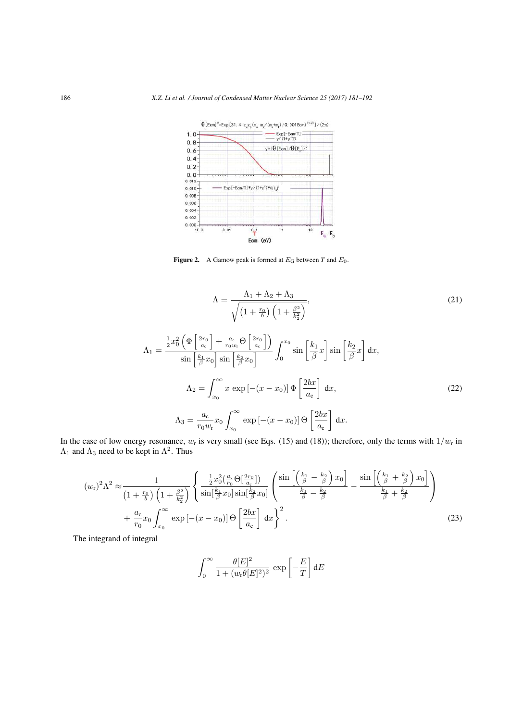

Figure 2. A Gamow peak is formed at  $E_G$  between *T* and  $E_0$ .

$$
\Lambda = \frac{\Lambda_1 + \Lambda_2 + \Lambda_3}{\sqrt{\left(1 + \frac{r_0}{b}\right)\left(1 + \frac{\beta^2}{k_2^2}\right)}},\tag{21}
$$

$$
\Lambda_{1} = \frac{\frac{1}{2}x_{0}^{2}\left(\Phi\left[\frac{2r_{0}}{a_{c}}\right] + \frac{a_{c}}{r_{0}w_{r}}\Theta\left[\frac{2r_{0}}{a_{c}}\right]\right)}{\sin\left[\frac{k_{1}}{\beta}x_{0}\right]\sin\left[\frac{k_{2}}{\beta}x_{0}\right]}\int_{0}^{x_{0}}\sin\left[\frac{k_{1}}{\beta}x\right]\sin\left[\frac{k_{2}}{\beta}x\right]dx,
$$
\n
$$
\Lambda_{2} = \int_{x_{0}}^{\infty} x \exp\left[-(x-x_{0})\right]\Phi\left[\frac{2bx}{a_{c}}\right]dx,
$$
\n
$$
\Lambda_{3} = \frac{a_{c}}{r_{0}w_{r}}x_{0}\int_{x_{0}}^{\infty} \exp\left[-(x-x_{0})\right]\Theta\left[\frac{2bx}{a_{c}}\right]dx.
$$
\n(22)

In the case of low energy resonance,  $w_r$  is very small (see Eqs. (15) and (18)); therefore, only the terms with  $1/w_r$  in  $\Lambda_1$  and  $\Lambda_3$  need to be kept in  $\Lambda^2$ . Thus

$$
(w_{\rm r})^2 \Lambda^2 \approx \frac{1}{\left(1 + \frac{r_0}{b}\right)\left(1 + \frac{\beta^2}{k_2^2}\right)} \left\{ \frac{\frac{1}{2}x_0^2 \left(\frac{a_c}{r_0} \Theta\left[\frac{2r_0}{a_c}\right]\right)}{\sin\left[\frac{k_1}{\beta}x_0\right]\sin\left[\frac{k_2}{\beta}x_0\right]} \left(\frac{\sin\left[\left(\frac{k_1}{\beta} - \frac{k_2}{\beta}\right)x_0\right]}{\frac{k_1}{\beta} - \frac{k_2}{\beta}} - \frac{\sin\left[\left(\frac{k_1}{\beta} + \frac{k_2}{\beta}\right)x_0\right]}{\frac{k_1}{\beta} + \frac{k_2}{\beta}} \right) + \frac{a_c}{r_0} x_0 \int_{x_0}^{\infty} \exp\left[-(x - x_0)\right] \Theta\left[\frac{2bx}{a_c}\right] dx \right\}^2.
$$
\n(23)

The integrand of integral

$$
\int_0^\infty \frac{\theta[E]^2}{1 + (w_\text{r} \theta[E]^2)^2} \, \exp\left[-\frac{E}{T}\right] \text{d}E
$$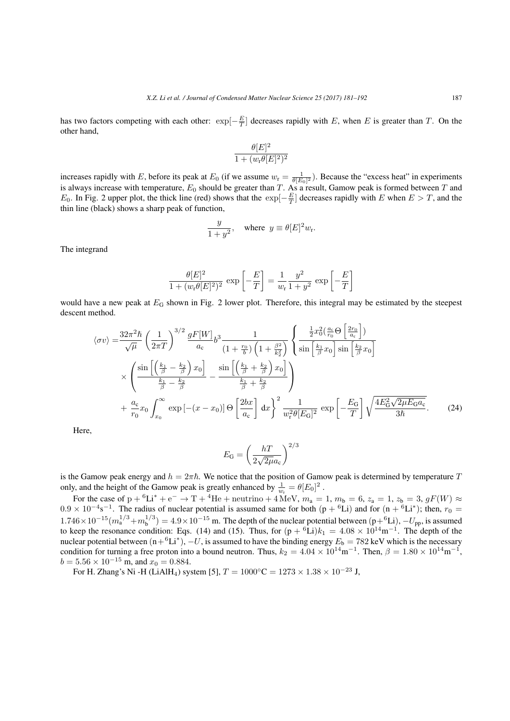has two factors competing with each other:  $\exp[-\frac{E}{T}]$  decreases rapidly with *E*, when *E* is greater than *T*. On the other hand,

$$
\frac{\theta[E]^2}{1+(w_{\rm r}\theta[E]^2)^2}
$$

increases rapidly with *E*, before its peak at  $E_0$  (if we assume  $w_r = \frac{1}{\theta[E_0]^2}$ ). Because the "excess heat" in experiments is always increase with temperature,  $E_0$  should be greater than *T*. As a result, Gamow peak is formed between *T* and *E*<sub>0</sub>. In Fig. 2 upper plot, the thick line (red) shows that the  $\exp[-\frac{E}{T}]$  decreases rapidly with *E* when  $E > T$ , and the thin line (black) shows a sharp peak of function,

$$
\frac{y}{1+y^2}
$$
, where  $y \equiv \theta[E]^2 w_r$ .

The integrand

$$
\frac{\theta[E]^2}{1 + (w_{\rm r}\theta[E]^2)^2} \exp\left[-\frac{E}{T}\right] = \frac{1}{w_{\rm r}}\frac{y^2}{1 + y^2} \exp\left[-\frac{E}{T}\right]
$$

would have a new peak at  $E_G$  shown in Fig. 2 lower plot. Therefore, this integral may be estimated by the steepest descent method.

$$
\langle \sigma v \rangle = \frac{32\pi^2 \hbar}{\sqrt{\mu}} \left(\frac{1}{2\pi T}\right)^{3/2} \frac{gF[W]}{a_c} b^3 \frac{1}{(1 + \frac{r_0}{b}) \left(1 + \frac{\beta^2}{k_2^2}\right)} \left\{ \frac{\frac{1}{2}x_0^2 \left(\frac{a_c}{r_0} \Theta \left(\frac{2r_0}{a_c}\right)\right)}{\sin \left(\frac{k_1}{\beta} x_0\right) \sin \left(\frac{k_2}{\beta} x_0\right)} \right\}
$$

$$
\times \left( \frac{\sin \left[\left(\frac{k_1}{\beta} - \frac{k_2}{\beta}\right) x_0\right]}{\frac{k_1}{\beta} - \frac{k_2}{\beta}} - \frac{\sin \left[\left(\frac{k_1}{\beta} + \frac{k_2}{\beta}\right) x_0\right]}{\frac{k_1}{\beta} + \frac{k_2}{\beta}} \right)
$$

$$
+ \frac{a_c}{r_0} x_0 \int_{x_0}^{\infty} \exp \left[-(x - x_0)\right] \Theta \left[\frac{2bx}{a_c}\right] dx \right\}^2 \frac{1}{w_r^2 \theta[E_0]^2} \exp \left[-\frac{E_G}{T}\right] \sqrt{\frac{4E_G^2 \sqrt{2\mu E_G a_c}}{3\hbar}}. \tag{24}
$$

 $\mathsf{L}$ .

 $\overline{1}$ 

Here,

$$
E_{\rm G} = \left(\frac{hT}{2\sqrt{2\mu}a_{\rm c}}\right)^{2/3}
$$

is the Gamow peak energy and  $h = 2\pi\hbar$ . We notice that the position of Gamow peak is determined by temperature *T* only, and the height of the Gamow peak is greatly enhanced by  $\frac{1}{w_r} = \theta[E_0]^2$ .

For the case of  $p + {}^{6}Li^{*} + e^{-} \rightarrow T + {}^{4}He +$  neutrino + 4 MeV,  $m_{a} = 1$ ,  $m_{b} = 6$ ,  $z_{a} = 1$ ,  $z_{b} = 3$ ,  $gF(W) \approx$  $0.9 \times 10^{-4}$  s<sup>-1</sup>. The radius of nuclear potential is assumed same for both (p + <sup>6</sup>Li) and for (n + <sup>6</sup>Li<sup>\*</sup>); then,  $r_0 =$  $1.746 \times 10^{-15} (m_a^{1/3} + m_b^{1/3})$  $b^{1/3}$ ) = 4.9 × 10<sup>−15</sup> m. The depth of the nuclear potential between  $(p_+^6Li)$ ,  $-U_{pp}$ , is assumed to keep the resonance condition: Eqs. (14) and (15). Thus, for  $(p + {}^{6}Li)k_1 = 4.08 \times 10^{14} m^{-1}$ . The depth of the nuclear potential between  $(n+{}^{6}Li^*)$ ,  $-U$ , is assumed to have the binding energy  $E_b = 782 \text{ keV}$  which is the necessary condition for turning a free proton into a bound neutron. Thus,  $k_2 = 4.04 \times 10^{14} \text{m}^{-1}$ . Then,  $\beta = 1.80 \times 10^{14} \text{m}^{-1}$ ,  $b = 5.56 \times 10^{-15}$  m, and  $x_0 = 0.884$ .

For H. Zhang's Ni -H (LiAlH<sub>4</sub>) system [5],  $T = 1000\degree \text{C} = 1273 \times 1.38 \times 10^{-23} \text{ J}$ ,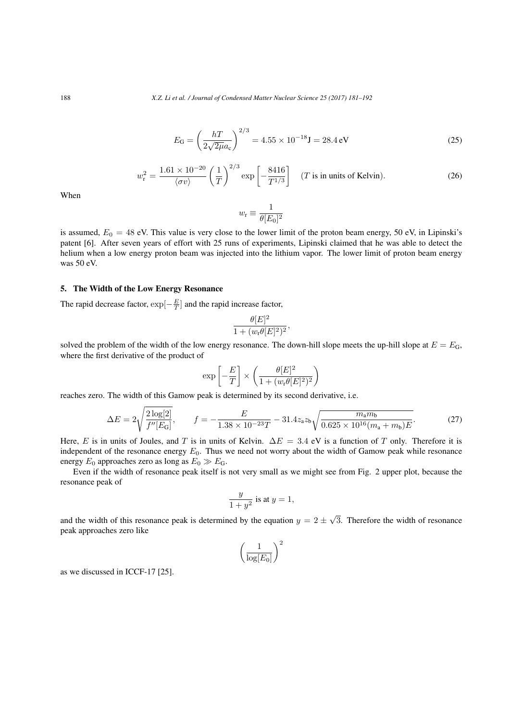$$
E_{\rm G} = \left(\frac{hT}{2\sqrt{2\mu}a_{\rm c}}\right)^{2/3} = 4.55 \times 10^{-18} \text{J} = 28.4 \text{ eV}
$$
 (25)

$$
w_{\rm r}^2 = \frac{1.61 \times 10^{-20}}{\langle \sigma v \rangle} \left(\frac{1}{T}\right)^{2/3} \exp\left[-\frac{8416}{T^{1/3}}\right] \quad (T \text{ is in units of Kelvin}).\tag{26}
$$

When

$$
w_{\rm r}\equiv\frac{1}{\theta[E_0]^2}
$$

is assumed,  $E_0 = 48$  eV. This value is very close to the lower limit of the proton beam energy, 50 eV, in Lipinski's patent [6]. After seven years of effort with 25 runs of experiments, Lipinski claimed that he was able to detect the helium when a low energy proton beam was injected into the lithium vapor. The lower limit of proton beam energy was 50 eV.

# 5. The Width of the Low Energy Resonance

The rapid decrease factor, exp[*− E T* ] and the rapid increase factor,

$$
\frac{\theta[E]^2}{1 + (w_{\rm r}\theta[E]^2)^2}
$$

solved the problem of the width of the low energy resonance. The down-hill slope meets the up-hill slope at  $E = E_G$ , where the first derivative of the product of

$$
\exp\left[-\frac{E}{T}\right] \times \left(\frac{\theta[E]^2}{1 + (w_{\rm r}\theta[E]^2)^2}\right)
$$

reaches zero. The width of this Gamow peak is determined by its second derivative, i.e.

$$
\Delta E = 2\sqrt{\frac{2\log[2]}{f''[E_{\rm G}]}}, \qquad f = -\frac{E}{1.38 \times 10^{-23}T} - 31.4z_{\rm a}z_{\rm b}\sqrt{\frac{m_{\rm a}m_{\rm b}}{0.625 \times 10^{16}(m_{\rm a} + m_{\rm b})E}}.
$$
(27)

*,*

Here, *E* is in units of Joules, and *T* is in units of Kelvin. ∆*E* = 3*.*4 eV is a function of *T* only. Therefore it is independent of the resonance energy  $E_0$ . Thus we need not worry about the width of Gamow peak while resonance energy  $E_0$  approaches zero as long as  $E_0 \gg E_G$ .

Even if the width of resonance peak itself is not very small as we might see from Fig. 2 upper plot, because the resonance peak of

$$
\frac{y}{1+y^2}
$$
 is at  $y = 1$ ,

and the width of this resonance peak is determined by the equation  $y = 2 \pm \sqrt{3}$ . Therefore the width of resonance peak approaches zero like

$$
\left(\frac{1}{\log[E_0]}\right)^2
$$

as we discussed in ICCF-17 [25].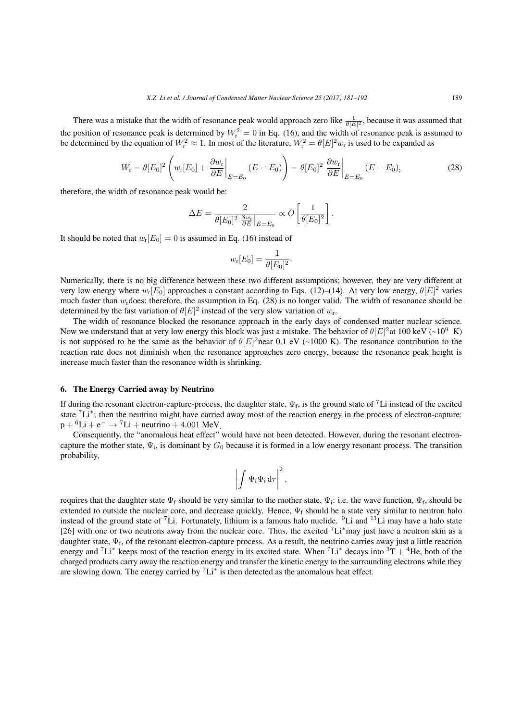There was a mistake that the width of resonance peak would approach zero like  $\frac{1}{\theta[E]^2}$ , because it was assumed that the position of resonance peak is determined by  $W_r^2 = 0$  in Eq. (16), and the width of resonance peak is assumed to be determined by the equation of  $W_r^2 \approx 1$ . In most of the literature,  $W_r^2 = \theta[E]^2 w_r$  is used to be expanded as

$$
W_{\rm r} = \theta[E_0]^2 \left( w_{\rm r}[E_0] + \left. \frac{\partial w_{\rm r}}{\partial E} \right|_{E=E_0} (E - E_0) \right) = \theta[E_0]^2 \left. \frac{\partial w_{\rm r}}{\partial E} \right|_{E=E_0} (E - E_0), \tag{28}
$$

therefore, the width of resonance peak would be:

$$
\Delta E = \frac{2}{\theta[E_0]^2 \left. \frac{\partial w_t}{\partial E} \right|_{E=E_0}} \propto O\left[\frac{1}{\theta[E_0]^2}\right].
$$

It should be noted that  $w_r[E_0] = 0$  is assumed in Eq. (16) instead of

$$
w_{r}[E_{0}] = \frac{1}{\theta[E_{0}]^{2}}.
$$

Numerically, there is no big difference between these two different assumptions; however, they are very different at very low energy where  $w_r[E_0]$  approaches a constant according to Eqs. (12)–(14). At very low energy,  $\theta[E]^2$  varies much faster than  $w_r$  does; therefore, the assumption in Eq. (28) is no longer valid. The width of resonance should be determined by the fast variation of  $\theta[E]^2$  instead of the very slow variation of  $w_r$ .

The width of resonance blocked the resonance approach in the early days of condensed matter nuclear science. Now we understand that at very low energy this block was just a mistake. The behavior of  $\theta[E]^2$  at 100 keV (~10<sup>9</sup> K) is not supposed to be the same as the behavior of  $\theta[E]^2$  near 0.1 eV (~1000 K). The resonance contribution to the reaction rate does not diminish when the resonance approaches zero energy, because the resonance peak height is increase much faster than the resonance width is shrinking.

#### 6. The Energy Carried away by Neutrino

If during the resonant electron-capture-process, the daughter state,  $\Psi_f$ , is the ground state of <sup>7</sup>Li instead of the excited state <sup>7</sup>Li<sup>\*</sup>; then the neutrino might have carried away most of the reaction energy in the process of electron-capture:  $p + {}^{6}Li + e^{-} \rightarrow {}^{7}Li +$  neutrino + 4.001 MeV.

Consequently, the "anomalous heat effect" would have not been detected. However, during the resonant electroncapture the mother state,  $\Psi_i$ , is dominant by  $G_0$  because it is formed in a low energy resonant process. The transition probability,

$$
\left|\int \Psi_{f}\Psi_{i}\,d\tau\right|^{2},
$$

requires that the daughter state  $\Psi_f$  should be very similar to the mother state,  $\Psi_i$ : i.e. the wave function,  $\Psi_f$ , should be extended to outside the nuclear core, and decrease quickly. Hence,  $\Psi_f$  should be a state very similar to neutron halo instead of the ground state of <sup>7</sup>Li. Fortunately, lithium is a famous halo nuclide. <sup>9</sup>Li and <sup>11</sup>Li may have a halo state [26] with one or two neutrons away from the nuclear core. Thus, the excited <sup>7</sup>Li*∗*may just have a neutron skin as a daughter state,  $\Psi_f$ , of the resonant electron-capture process. As a result, the neutrino carries away just a little reaction energy and <sup>7</sup>Li<sup>∗</sup> keeps most of the reaction energy in its excited state. When <sup>7</sup>Li<sup>∗</sup> decays into <sup>3</sup>T + <sup>4</sup>He, both of the charged products carry away the reaction energy and transfer the kinetic energy to the surrounding electrons while they are slowing down. The energy carried by <sup>7</sup>Li*<sup>∗</sup>* is then detected as the anomalous heat effect.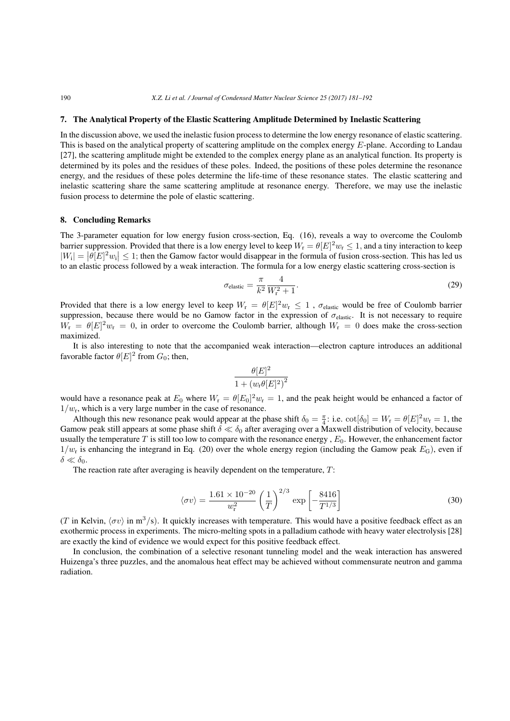#### 7. The Analytical Property of the Elastic Scattering Amplitude Determined by Inelastic Scattering

In the discussion above, we used the inelastic fusion process to determine the low energy resonance of elastic scattering. This is based on the analytical property of scattering amplitude on the complex energy *E*-plane. According to Landau [27], the scattering amplitude might be extended to the complex energy plane as an analytical function. Its property is determined by its poles and the residues of these poles. Indeed, the positions of these poles determine the resonance energy, and the residues of these poles determine the life-time of these resonance states. The elastic scattering and inelastic scattering share the same scattering amplitude at resonance energy. Therefore, we may use the inelastic fusion process to determine the pole of elastic scattering.

#### 8. Concluding Remarks

The 3-parameter equation for low energy fusion cross-section, Eq. (16), reveals a way to overcome the Coulomb barrier suppression. Provided that there is a low energy level to keep  $W_r = \theta[E]^2 w_r \le 1$ , and a tiny interaction to keep  $|W_i| = |\theta[E]^2 w_i| \leq 1$ ; then the Gamow factor would disappear in the formula of fusion cross-section. This has led us to an elastic process followed by a weak interaction. The formula for a low energy elastic scattering cross-section is

$$
\sigma_{\text{elastic}} = \frac{\pi}{k^2} \frac{4}{W_{\text{r}}^2 + 1}.
$$
\n(29)

Provided that there is a low energy level to keep  $W_r = \theta[E]^2 w_r \leq 1$ ,  $\sigma_{\text{elastic}}$  would be free of Coulomb barrier suppression, because there would be no Gamow factor in the expression of *σ*<sub>elastic</sub>. It is not necessary to require  $W_{\rm r} = \theta[E]^2 w_{\rm r} = 0$ , in order to overcome the Coulomb barrier, although  $W_{\rm r} = 0$  does make the cross-section maximized.

It is also interesting to note that the accompanied weak interaction—electron capture introduces an additional favorable factor  $\theta[E]^2$  from  $G_0$ ; then,

$$
\frac{\theta[E]^2}{1 + \left(w_{\rm r}\theta[E]^2\right)^2}
$$

would have a resonance peak at  $E_0$  where  $W_r = \theta[E_0]^2 w_r = 1$ , and the peak height would be enhanced a factor of  $1/w_r$ , which is a very large number in the case of resonance.

Although this new resonance peak would appear at the phase shift  $\delta_0 = \frac{\pi}{4}$ : i.e.  $\cot[\delta_0] = W_r = \theta[E]^2 w_r = 1$ , the Gamow peak still appears at some phase shift *δ ≪ δ*<sup>0</sup> after averaging over a Maxwell distribution of velocity, because usually the temperature  $T$  is still too low to compare with the resonance energy ,  $E_0$ . However, the enhancement factor  $1/w_r$  is enhancing the integrand in Eq. (20) over the whole energy region (including the Gamow peak  $E_G$ ), even if  $δ$  ≪  $δ$ <sub>0</sub>.

The reaction rate after averaging is heavily dependent on the temperature, *T*:

$$
\langle \sigma v \rangle = \frac{1.61 \times 10^{-20}}{w_{\rm r}^2} \left(\frac{1}{T}\right)^{2/3} \exp\left[-\frac{8416}{T^{1/3}}\right] \tag{30}
$$

(*T* in Kelvin,  $\langle \sigma v \rangle$  in m<sup>3</sup>/s). It quickly increases with temperature. This would have a positive feedback effect as an exothermic process in experiments. The micro-melting spots in a palladium cathode with heavy water electrolysis [28] are exactly the kind of evidence we would expect for this positive feedback effect.

In conclusion, the combination of a selective resonant tunneling model and the weak interaction has answered Huizenga's three puzzles, and the anomalous heat effect may be achieved without commensurate neutron and gamma radiation.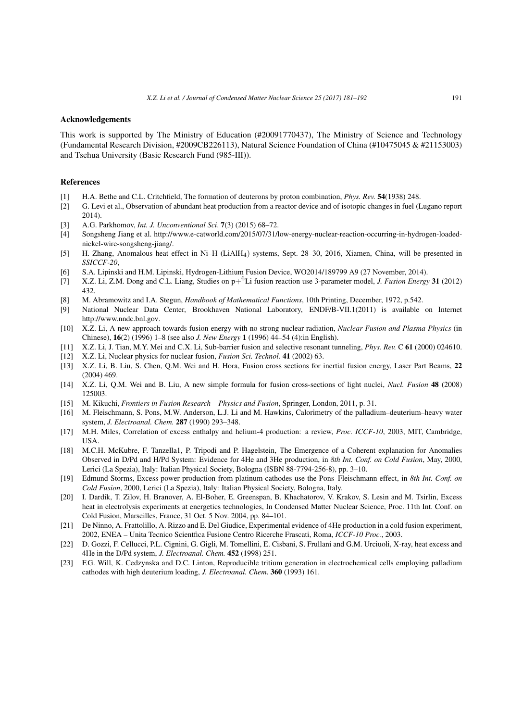#### Acknowledgements

This work is supported by The Ministry of Education (#20091770437), The Ministry of Science and Technology (Fundamental Research Division, #2009CB226113), Natural Science Foundation of China (#10475045 & #21153003) and Tsehua University (Basic Research Fund (985-III)).

#### References

- [1] H.A. Bethe and C.L. Critchfield, The formation of deuterons by proton combination, *Phys. Rev.* 54(1938) 248.
- [2] G. Levi et al., Observation of abundant heat production from a reactor device and of isotopic changes in fuel (Lugano report 2014).
- [3] A.G. Parkhomov, *Int. J. Unconventional Sci*. 7(3) (2015) 68–72.
- [4] Songsheng Jiang et al. http://www.e-catworld.com/2015/07/31/low-energy-nuclear-reaction-occurring-in-hydrogen-loadednickel-wire-songsheng-jiang/.
- [5] H. Zhang, Anomalous heat effect in Ni–H (LiAlH4) systems, Sept. 28–30, 2016, Xiamen, China, will be presented in *SSICCF-20*,
- [6] S.A. Lipinski and H.M. Lipinski, Hydrogen-Lithium Fusion Device, WO2014/189799 A9 (27 November, 2014).
- [7] X.Z. Li, Z.M. Dong and C.L. Liang, Studies on p+ <sup>6</sup>Li fusion reaction use 3-parameter model, *J. Fusion Energy* 31 (2012) 432.
- [8] M. Abramowitz and I.A. Stegun, *Handbook of Mathematical Functions*, 10th Printing, December, 1972, p.542.
- [9] National Nuclear Data Center, Brookhaven National Laboratory, ENDF/B-VII.1(2011) is available on Internet http://www.nndc.bnl.gov.
- [10] X.Z. Li, A new approach towards fusion energy with no strong nuclear radiation, *Nuclear Fusion and Plasma Physics* (in Chinese), 16(2) (1996) 1–8 (see also *J. New Energy* 1 (1996) 44–54 (4):in English).
- [11] X.Z. Li, J. Tian, M.Y. Mei and C.X. Li, Sub-barrier fusion and selective resonant tunneling, *Phys. Rev.* C 61 (2000) 024610.
- [12] X.Z. Li, Nuclear physics for nuclear fusion, *Fusion Sci. Technol.* 41 (2002) 63.
- [13] X.Z. Li, B. Liu, S. Chen, Q.M. Wei and H. Hora, Fusion cross sections for inertial fusion energy, Laser Part Beams, 22 (2004) 469.
- [14] X.Z. Li, Q.M. Wei and B. Liu, A new simple formula for fusion cross-sections of light nuclei, *Nucl. Fusion* 48 (2008) 125003.
- [15] M. Kikuchi, *Frontiers in Fusion Research Physics and Fusion*, Springer, London, 2011, p. 31.
- [16] M. Fleischmann, S. Pons, M.W. Anderson, L.J. Li and M. Hawkins, Calorimetry of the palladium–deuterium–heavy water system, *J. Electroanal. Chem.* 287 (1990) 293–348.
- [17] M.H. Miles, Correlation of excess enthalpy and helium-4 production: a review, *Proc. ICCF-10*, 2003, MIT, Cambridge, USA.
- [18] M.C.H. McKubre, F. Tanzella1, P. Tripodi and P. Hagelstein, The Emergence of a Coherent explanation for Anomalies Observed in D/Pd and H/Pd System: Evidence for 4He and 3He production, in *8th Int. Conf. on Cold Fusion*, May, 2000, Lerici (La Spezia), Italy: Italian Physical Society, Bologna (ISBN 88-7794-256-8), pp. 3–10.
- [19] Edmund Storms, Excess power production from platinum cathodes use the Pons–Fleischmann effect, in *8th Int. Conf. on Cold Fusion*, 2000, Lerici (La Spezia), Italy: Italian Physical Society, Bologna, Italy.
- [20] I. Dardik, T. Zilov, H. Branover, A. El-Boher, E. Greenspan, B. Khachatorov, V. Krakov, S. Lesin and M. Tsirlin, Excess heat in electrolysis experiments at energetics technologies, In Condensed Matter Nuclear Science, Proc. 11th Int. Conf. on Cold Fusion, Marseilles, France, 31 Oct. 5 Nov. 2004, pp. 84–101.
- [21] De Ninno, A. Frattolillo, A. Rizzo and E. Del Giudice, Experimental evidence of 4He production in a cold fusion experiment, 2002, ENEA – Unita Tecnico Scientfica Fusione Centro Ricerche Frascati, Roma, *ICCF-10 Proc.*, 2003.
- [22] D. Gozzi, F. Cellucci, P.L. Cignini, G. Gigli, M. Tomellini, E. Cisbani, S. Frullani and G.M. Urciuoli, X-ray, heat excess and 4He in the D/Pd system, *J. Electroanal. Chem.* 452 (1998) 251.
- [23] F.G. Will, K. Cedzynska and D.C. Linton, Reproducible tritium generation in electrochemical cells employing palladium cathodes with high deuterium loading, *J. Electroanal. Chem*. 360 (1993) 161.